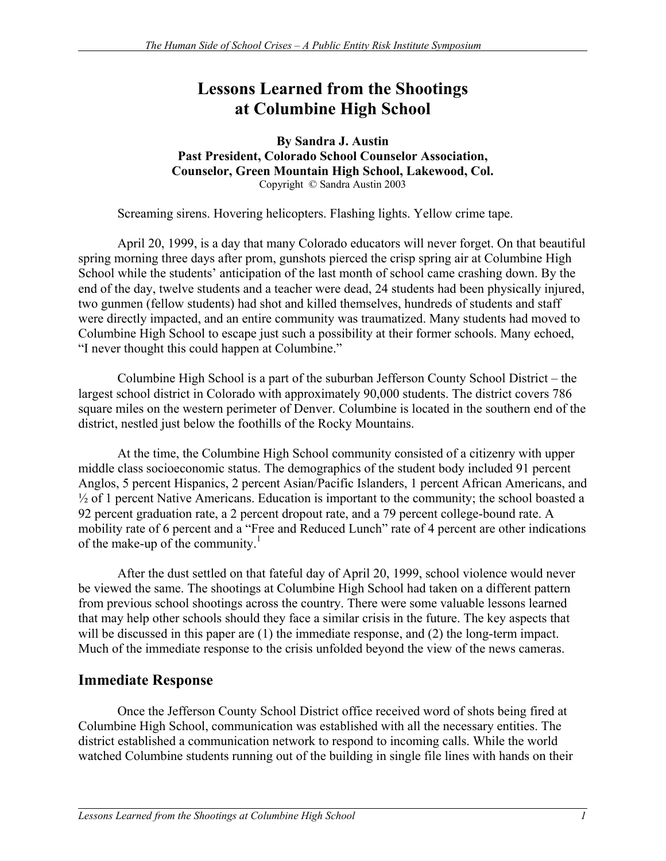# **Lessons Learned from the Shootings at Columbine High School**

**By Sandra J. Austin Past President, Colorado School Counselor Association, Counselor, Green Mountain High School, Lakewood, Col.** Copyright © Sandra Austin 2003

Screaming sirens. Hovering helicopters. Flashing lights. Yellow crime tape.

April 20, 1999, is a day that many Colorado educators will never forget. On that beautiful spring morning three days after prom, gunshots pierced the crisp spring air at Columbine High School while the students' anticipation of the last month of school came crashing down. By the end of the day, twelve students and a teacher were dead, 24 students had been physically injured, two gunmen (fellow students) had shot and killed themselves, hundreds of students and staff were directly impacted, and an entire community was traumatized. Many students had moved to Columbine High School to escape just such a possibility at their former schools. Many echoed, "I never thought this could happen at Columbine."

Columbine High School is a part of the suburban Jefferson County School District – the largest school district in Colorado with approximately 90,000 students. The district covers 786 square miles on the western perimeter of Denver. Columbine is located in the southern end of the district, nestled just below the foothills of the Rocky Mountains.

At the time, the Columbine High School community consisted of a citizenry with upper middle class socioeconomic status. The demographics of the student body included 91 percent Anglos, 5 percent Hispanics, 2 percent Asian/Pacific Islanders, 1 percent African Americans, and  $\frac{1}{2}$  of 1 percent Native Americans. Education is important to the community; the school boasted a 92 percent graduation rate, a 2 percent dropout rate, and a 79 percent college-bound rate. A mobility rate of 6 percent and a "Free and Reduced Lunch" rate of 4 percent are other indications of the make-up of the community.<sup>1</sup>

After the dust settled on that fateful day of April 20, 1999, school violence would never be viewed the same. The shootings at Columbine High School had taken on a different pattern from previous school shootings across the country. There were some valuable lessons learned that may help other schools should they face a similar crisis in the future. The key aspects that will be discussed in this paper are  $(1)$  the immediate response, and  $(2)$  the long-term impact. Much of the immediate response to the crisis unfolded beyond the view of the news cameras.

### **Immediate Response**

Once the Jefferson County School District office received word of shots being fired at Columbine High School, communication was established with all the necessary entities. The district established a communication network to respond to incoming calls. While the world watched Columbine students running out of the building in single file lines with hands on their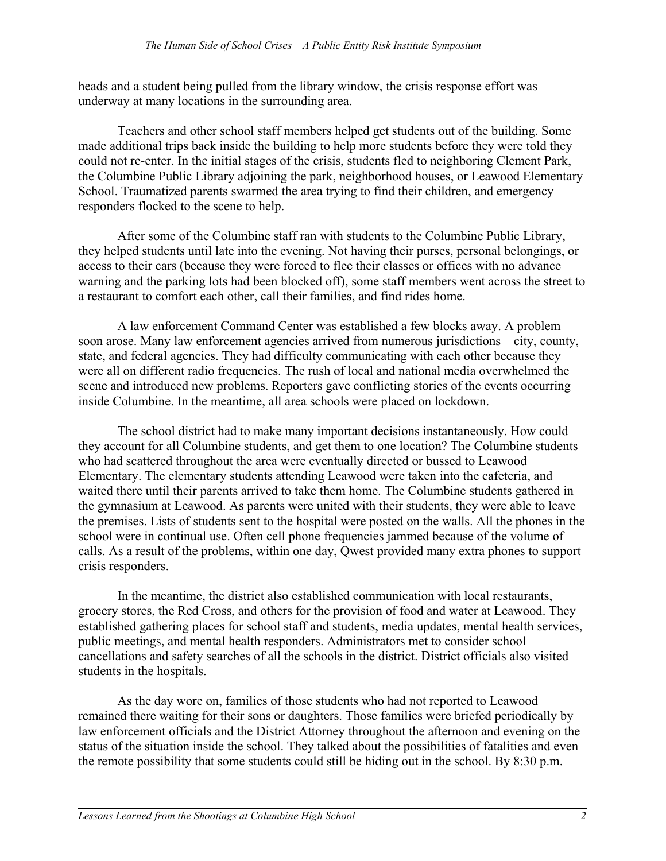heads and a student being pulled from the library window, the crisis response effort was underway at many locations in the surrounding area.

Teachers and other school staff members helped get students out of the building. Some made additional trips back inside the building to help more students before they were told they could not re-enter. In the initial stages of the crisis, students fled to neighboring Clement Park, the Columbine Public Library adjoining the park, neighborhood houses, or Leawood Elementary School. Traumatized parents swarmed the area trying to find their children, and emergency responders flocked to the scene to help.

After some of the Columbine staff ran with students to the Columbine Public Library, they helped students until late into the evening. Not having their purses, personal belongings, or access to their cars (because they were forced to flee their classes or offices with no advance warning and the parking lots had been blocked off), some staff members went across the street to a restaurant to comfort each other, call their families, and find rides home.

A law enforcement Command Center was established a few blocks away. A problem soon arose. Many law enforcement agencies arrived from numerous jurisdictions – city, county, state, and federal agencies. They had difficulty communicating with each other because they were all on different radio frequencies. The rush of local and national media overwhelmed the scene and introduced new problems. Reporters gave conflicting stories of the events occurring inside Columbine. In the meantime, all area schools were placed on lockdown.

The school district had to make many important decisions instantaneously. How could they account for all Columbine students, and get them to one location? The Columbine students who had scattered throughout the area were eventually directed or bussed to Leawood Elementary. The elementary students attending Leawood were taken into the cafeteria, and waited there until their parents arrived to take them home. The Columbine students gathered in the gymnasium at Leawood. As parents were united with their students, they were able to leave the premises. Lists of students sent to the hospital were posted on the walls. All the phones in the school were in continual use. Often cell phone frequencies jammed because of the volume of calls. As a result of the problems, within one day, Qwest provided many extra phones to support crisis responders.

In the meantime, the district also established communication with local restaurants, grocery stores, the Red Cross, and others for the provision of food and water at Leawood. They established gathering places for school staff and students, media updates, mental health services, public meetings, and mental health responders. Administrators met to consider school cancellations and safety searches of all the schools in the district. District officials also visited students in the hospitals.

As the day wore on, families of those students who had not reported to Leawood remained there waiting for their sons or daughters. Those families were briefed periodically by law enforcement officials and the District Attorney throughout the afternoon and evening on the status of the situation inside the school. They talked about the possibilities of fatalities and even the remote possibility that some students could still be hiding out in the school. By 8:30 p.m.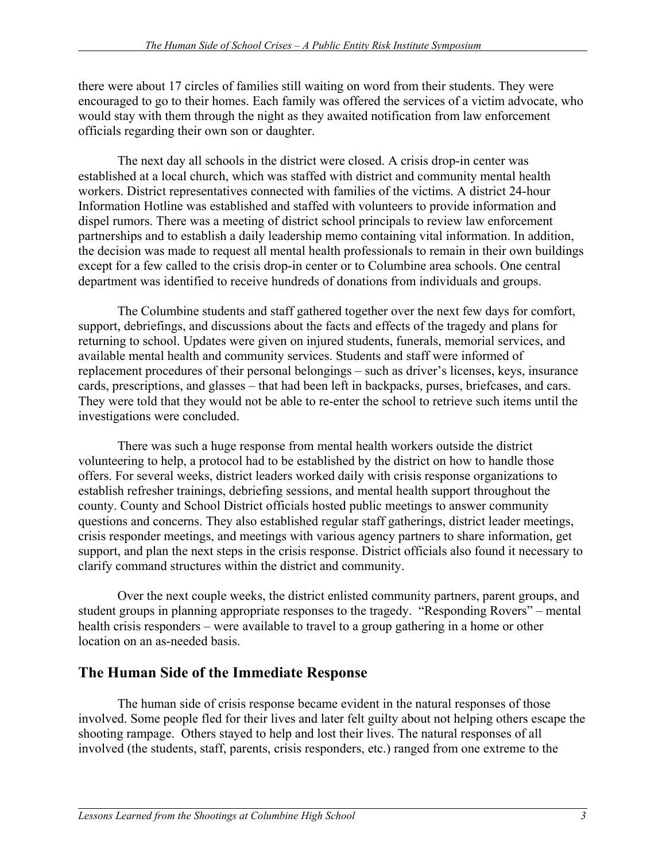there were about 17 circles of families still waiting on word from their students. They were encouraged to go to their homes. Each family was offered the services of a victim advocate, who would stay with them through the night as they awaited notification from law enforcement officials regarding their own son or daughter.

The next day all schools in the district were closed. A crisis drop-in center was established at a local church, which was staffed with district and community mental health workers. District representatives connected with families of the victims. A district 24-hour Information Hotline was established and staffed with volunteers to provide information and dispel rumors. There was a meeting of district school principals to review law enforcement partnerships and to establish a daily leadership memo containing vital information. In addition, the decision was made to request all mental health professionals to remain in their own buildings except for a few called to the crisis drop-in center or to Columbine area schools. One central department was identified to receive hundreds of donations from individuals and groups.

The Columbine students and staff gathered together over the next few days for comfort, support, debriefings, and discussions about the facts and effects of the tragedy and plans for returning to school. Updates were given on injured students, funerals, memorial services, and available mental health and community services. Students and staff were informed of replacement procedures of their personal belongings – such as driver's licenses, keys, insurance cards, prescriptions, and glasses – that had been left in backpacks, purses, briefcases, and cars. They were told that they would not be able to re-enter the school to retrieve such items until the investigations were concluded.

There was such a huge response from mental health workers outside the district volunteering to help, a protocol had to be established by the district on how to handle those offers. For several weeks, district leaders worked daily with crisis response organizations to establish refresher trainings, debriefing sessions, and mental health support throughout the county. County and School District officials hosted public meetings to answer community questions and concerns. They also established regular staff gatherings, district leader meetings, crisis responder meetings, and meetings with various agency partners to share information, get support, and plan the next steps in the crisis response. District officials also found it necessary to clarify command structures within the district and community.

Over the next couple weeks, the district enlisted community partners, parent groups, and student groups in planning appropriate responses to the tragedy. "Responding Rovers" – mental health crisis responders – were available to travel to a group gathering in a home or other location on an as-needed basis.

### **The Human Side of the Immediate Response**

The human side of crisis response became evident in the natural responses of those involved. Some people fled for their lives and later felt guilty about not helping others escape the shooting rampage. Others stayed to help and lost their lives. The natural responses of all involved (the students, staff, parents, crisis responders, etc.) ranged from one extreme to the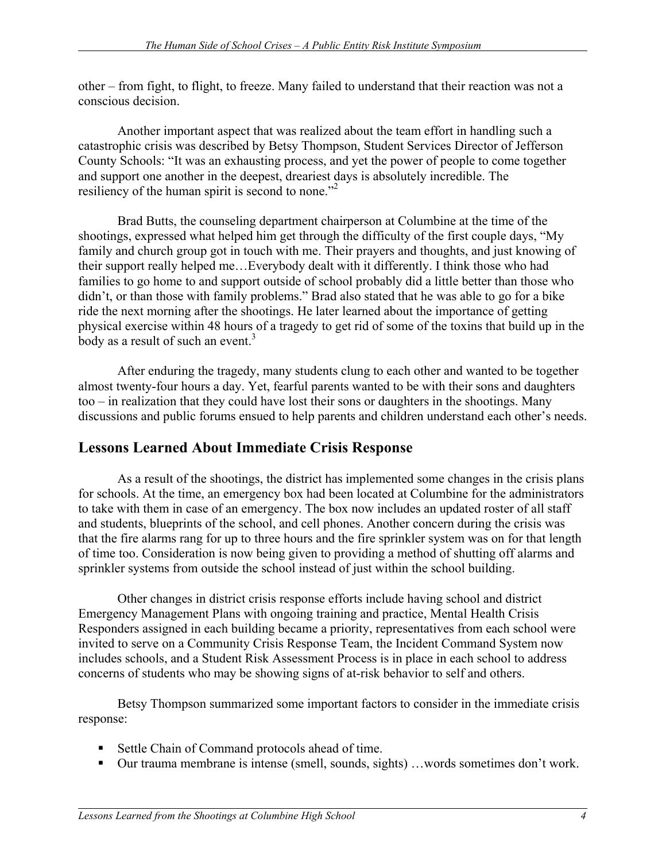other – from fight, to flight, to freeze. Many failed to understand that their reaction was not a conscious decision.

 Another important aspect that was realized about the team effort in handling such a catastrophic crisis was described by Betsy Thompson, Student Services Director of Jefferson County Schools: "It was an exhausting process, and yet the power of people to come together and support one another in the deepest, dreariest days is absolutely incredible. The resiliency of the human spirit is second to none."<sup>2</sup>

Brad Butts, the counseling department chairperson at Columbine at the time of the shootings, expressed what helped him get through the difficulty of the first couple days, "My family and church group got in touch with me. Their prayers and thoughts, and just knowing of their support really helped me…Everybody dealt with it differently. I think those who had families to go home to and support outside of school probably did a little better than those who didn't, or than those with family problems." Brad also stated that he was able to go for a bike ride the next morning after the shootings. He later learned about the importance of getting physical exercise within 48 hours of a tragedy to get rid of some of the toxins that build up in the body as a result of such an event.<sup>3</sup>

After enduring the tragedy, many students clung to each other and wanted to be together almost twenty-four hours a day. Yet, fearful parents wanted to be with their sons and daughters too – in realization that they could have lost their sons or daughters in the shootings. Many discussions and public forums ensued to help parents and children understand each other's needs.

### **Lessons Learned About Immediate Crisis Response**

As a result of the shootings, the district has implemented some changes in the crisis plans for schools. At the time, an emergency box had been located at Columbine for the administrators to take with them in case of an emergency. The box now includes an updated roster of all staff and students, blueprints of the school, and cell phones. Another concern during the crisis was that the fire alarms rang for up to three hours and the fire sprinkler system was on for that length of time too. Consideration is now being given to providing a method of shutting off alarms and sprinkler systems from outside the school instead of just within the school building.

 Other changes in district crisis response efforts include having school and district Emergency Management Plans with ongoing training and practice, Mental Health Crisis Responders assigned in each building became a priority, representatives from each school were invited to serve on a Community Crisis Response Team, the Incident Command System now includes schools, and a Student Risk Assessment Process is in place in each school to address concerns of students who may be showing signs of at-risk behavior to self and others.

Betsy Thompson summarized some important factors to consider in the immediate crisis response:

- Settle Chain of Command protocols ahead of time.
- Our trauma membrane is intense (smell, sounds, sights) …words sometimes don't work.

 $\overline{a}$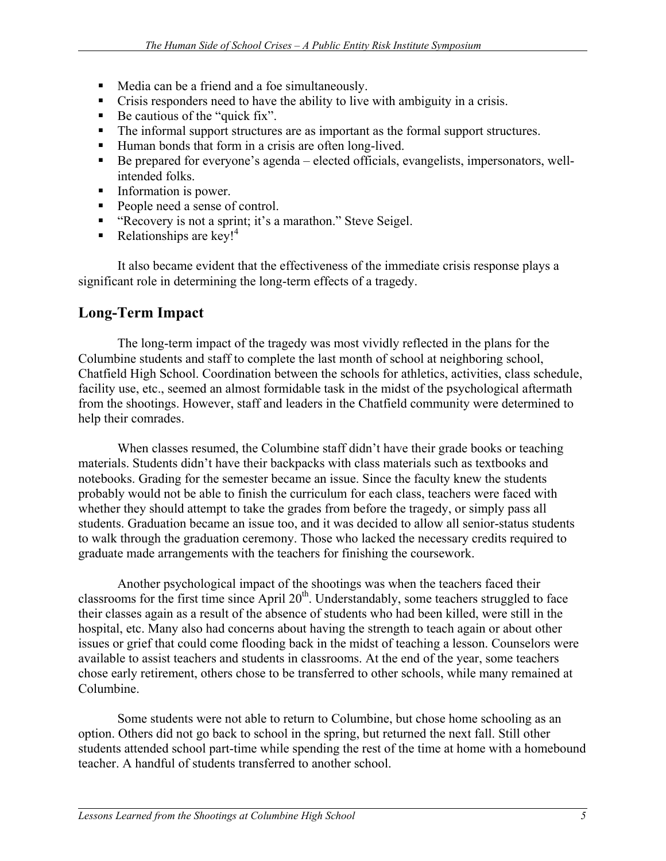- Media can be a friend and a foe simultaneously.
- Crisis responders need to have the ability to live with ambiguity in a crisis.
- $\blacksquare$  Be cautious of the "quick fix".
- The informal support structures are as important as the formal support structures.
- Human bonds that form in a crisis are often long-lived.
- Be prepared for everyone's agenda elected officials, evangelists, impersonators, wellintended folks.
- Information is power.
- People need a sense of control.
- " "Recovery is not a sprint; it's a marathon." Steve Seigel.
- Relationships are key!<sup>4</sup>

It also became evident that the effectiveness of the immediate crisis response plays a significant role in determining the long-term effects of a tragedy.

#### **Long-Term Impact**

 The long-term impact of the tragedy was most vividly reflected in the plans for the Columbine students and staff to complete the last month of school at neighboring school, Chatfield High School. Coordination between the schools for athletics, activities, class schedule, facility use, etc., seemed an almost formidable task in the midst of the psychological aftermath from the shootings. However, staff and leaders in the Chatfield community were determined to help their comrades.

When classes resumed, the Columbine staff didn't have their grade books or teaching materials. Students didn't have their backpacks with class materials such as textbooks and notebooks. Grading for the semester became an issue. Since the faculty knew the students probably would not be able to finish the curriculum for each class, teachers were faced with whether they should attempt to take the grades from before the tragedy, or simply pass all students. Graduation became an issue too, and it was decided to allow all senior-status students to walk through the graduation ceremony. Those who lacked the necessary credits required to graduate made arrangements with the teachers for finishing the coursework.

Another psychological impact of the shootings was when the teachers faced their classrooms for the first time since April  $20<sup>th</sup>$ . Understandably, some teachers struggled to face their classes again as a result of the absence of students who had been killed, were still in the hospital, etc. Many also had concerns about having the strength to teach again or about other issues or grief that could come flooding back in the midst of teaching a lesson. Counselors were available to assist teachers and students in classrooms. At the end of the year, some teachers chose early retirement, others chose to be transferred to other schools, while many remained at Columbine.

Some students were not able to return to Columbine, but chose home schooling as an option. Others did not go back to school in the spring, but returned the next fall. Still other students attended school part-time while spending the rest of the time at home with a homebound teacher. A handful of students transferred to another school.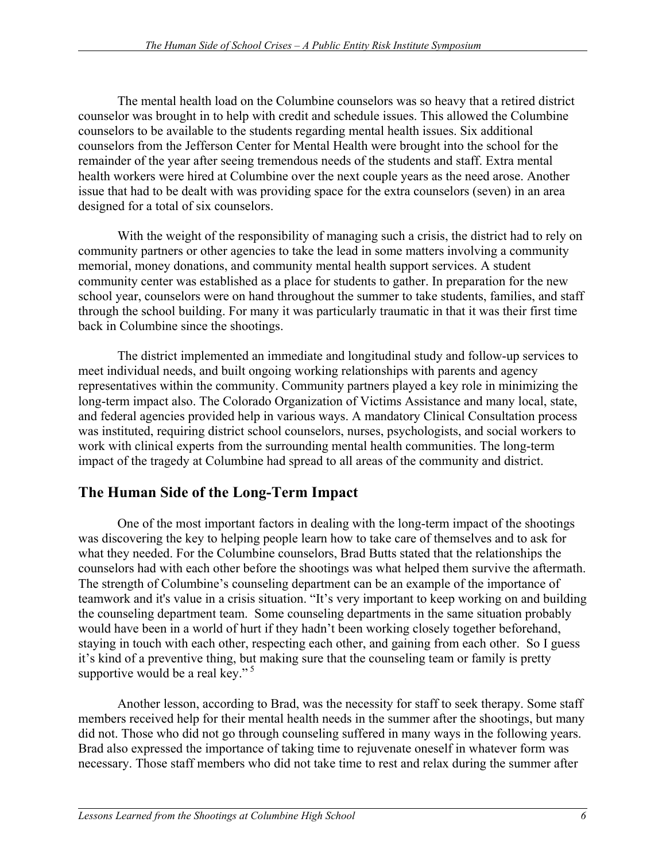The mental health load on the Columbine counselors was so heavy that a retired district counselor was brought in to help with credit and schedule issues. This allowed the Columbine counselors to be available to the students regarding mental health issues. Six additional counselors from the Jefferson Center for Mental Health were brought into the school for the remainder of the year after seeing tremendous needs of the students and staff. Extra mental health workers were hired at Columbine over the next couple years as the need arose. Another issue that had to be dealt with was providing space for the extra counselors (seven) in an area designed for a total of six counselors.

With the weight of the responsibility of managing such a crisis, the district had to rely on community partners or other agencies to take the lead in some matters involving a community memorial, money donations, and community mental health support services. A student community center was established as a place for students to gather. In preparation for the new school year, counselors were on hand throughout the summer to take students, families, and staff through the school building. For many it was particularly traumatic in that it was their first time back in Columbine since the shootings.

The district implemented an immediate and longitudinal study and follow-up services to meet individual needs, and built ongoing working relationships with parents and agency representatives within the community. Community partners played a key role in minimizing the long-term impact also. The Colorado Organization of Victims Assistance and many local, state, and federal agencies provided help in various ways. A mandatory Clinical Consultation process was instituted, requiring district school counselors, nurses, psychologists, and social workers to work with clinical experts from the surrounding mental health communities. The long-term impact of the tragedy at Columbine had spread to all areas of the community and district.

## **The Human Side of the Long-Term Impact**

 One of the most important factors in dealing with the long-term impact of the shootings was discovering the key to helping people learn how to take care of themselves and to ask for what they needed. For the Columbine counselors, Brad Butts stated that the relationships the counselors had with each other before the shootings was what helped them survive the aftermath. The strength of Columbine's counseling department can be an example of the importance of teamwork and it's value in a crisis situation. "It's very important to keep working on and building the counseling department team. Some counseling departments in the same situation probably would have been in a world of hurt if they hadn't been working closely together beforehand, staying in touch with each other, respecting each other, and gaining from each other. So I guess it's kind of a preventive thing, but making sure that the counseling team or family is pretty supportive would be a real key."<sup>5</sup>

Another lesson, according to Brad, was the necessity for staff to seek therapy. Some staff members received help for their mental health needs in the summer after the shootings, but many did not. Those who did not go through counseling suffered in many ways in the following years. Brad also expressed the importance of taking time to rejuvenate oneself in whatever form was necessary. Those staff members who did not take time to rest and relax during the summer after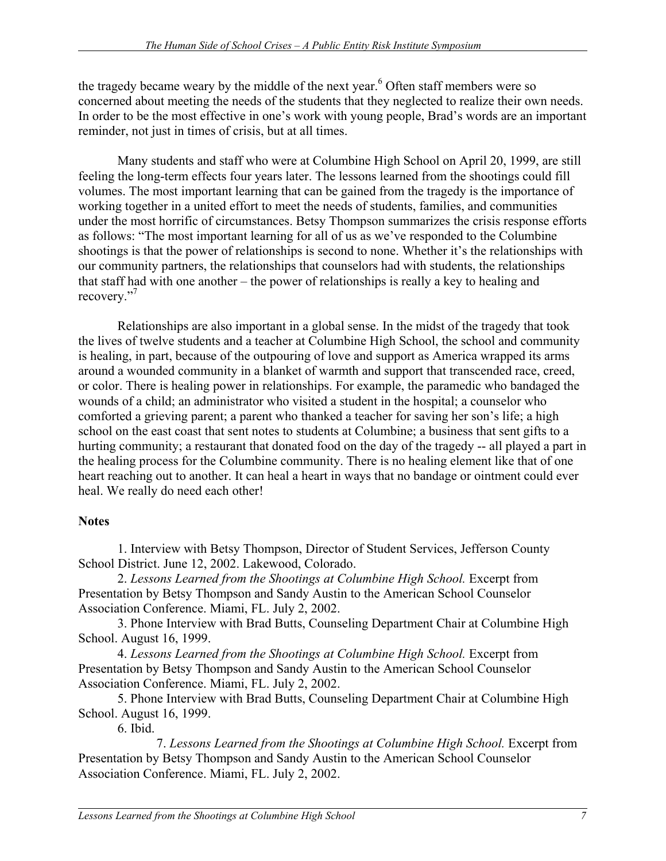the tragedy became weary by the middle of the next year.<sup>6</sup> Often staff members were so concerned about meeting the needs of the students that they neglected to realize their own needs. In order to be the most effective in one's work with young people, Brad's words are an important reminder, not just in times of crisis, but at all times.

Many students and staff who were at Columbine High School on April 20, 1999, are still feeling the long-term effects four years later. The lessons learned from the shootings could fill volumes. The most important learning that can be gained from the tragedy is the importance of working together in a united effort to meet the needs of students, families, and communities under the most horrific of circumstances. Betsy Thompson summarizes the crisis response efforts as follows: "The most important learning for all of us as we've responded to the Columbine shootings is that the power of relationships is second to none. Whether it's the relationships with our community partners, the relationships that counselors had with students, the relationships that staff had with one another – the power of relationships is really a key to healing and recovery."<sup>7</sup>

Relationships are also important in a global sense. In the midst of the tragedy that took the lives of twelve students and a teacher at Columbine High School, the school and community is healing, in part, because of the outpouring of love and support as America wrapped its arms around a wounded community in a blanket of warmth and support that transcended race, creed, or color. There is healing power in relationships. For example, the paramedic who bandaged the wounds of a child; an administrator who visited a student in the hospital; a counselor who comforted a grieving parent; a parent who thanked a teacher for saving her son's life; a high school on the east coast that sent notes to students at Columbine; a business that sent gifts to a hurting community; a restaurant that donated food on the day of the tragedy -- all played a part in the healing process for the Columbine community. There is no healing element like that of one heart reaching out to another. It can heal a heart in ways that no bandage or ointment could ever heal. We really do need each other!

#### **Notes**

1. Interview with Betsy Thompson, Director of Student Services, Jefferson County School District. June 12, 2002. Lakewood, Colorado.

2. *Lessons Learned from the Shootings at Columbine High School.* Excerpt from Presentation by Betsy Thompson and Sandy Austin to the American School Counselor Association Conference. Miami, FL. July 2, 2002.

3. Phone Interview with Brad Butts, Counseling Department Chair at Columbine High School. August 16, 1999.

4. *Lessons Learned from the Shootings at Columbine High School.* Excerpt from Presentation by Betsy Thompson and Sandy Austin to the American School Counselor Association Conference. Miami, FL. July 2, 2002.

5. Phone Interview with Brad Butts, Counseling Department Chair at Columbine High School. August 16, 1999.

6. Ibid.

 $\overline{a}$ 

 7. *Lessons Learned from the Shootings at Columbine High School.* Excerpt from Presentation by Betsy Thompson and Sandy Austin to the American School Counselor Association Conference. Miami, FL. July 2, 2002.